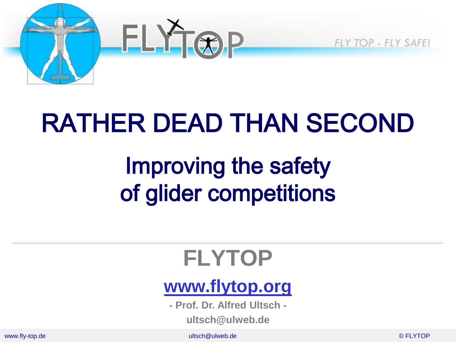

## RATHER DEAD THAN SECOND

## Improving the safety of glider competitions

#### **FLYTOP**

#### **[www.flytop.org](http://www.flytop.org/)**

**- Prof. Dr. Alfred Ultsch -**

**ultsch@ulweb.de**

www.fly-top.de ultsch@ulweb.de © FLYTOP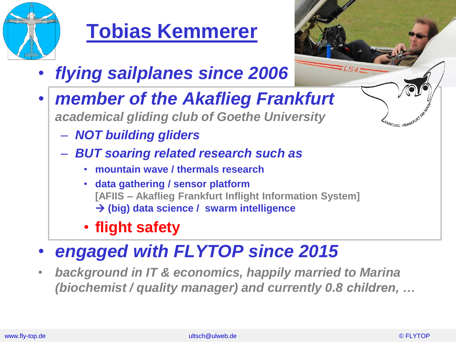

#### **Tobias Kemmerer**

- *flying sailplanes since 2006*
- *member of the Akaflieg Frankfurt academical gliding club of Goethe University*
	- *NOT building gliders*
	- *BUT soaring related research such as*
		- **mountain wave / thermals research**
		- **data gathering / sensor platform [AFIIS – Akaflieg Frankfurt Inflight Information System] (big) data science / swarm intelligence**
		- **flight safety**
- *engaged with FLYTOP since 2015*
- *background in IT & economics, happily married to Marina (biochemist / quality manager) and currently 0.8 children, …*

AFLIEG - FRANKFURT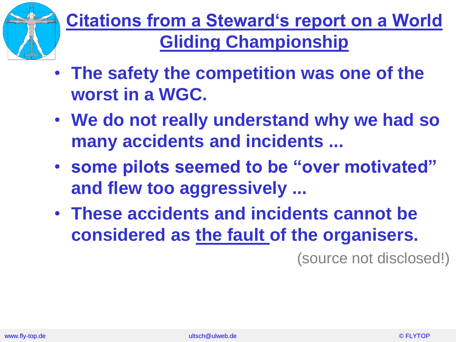

#### **Citations from a Steward's report on a World Gliding Championship**

- **The safety the competition was one of the worst in a WGC.**
- **We do not really understand why we had so many accidents and incidents ...**
- **some pilots seemed to be "over motivated" and flew too aggressively ...**
- **These accidents and incidents cannot be considered as the fault of the organisers.**

(source not disclosed!)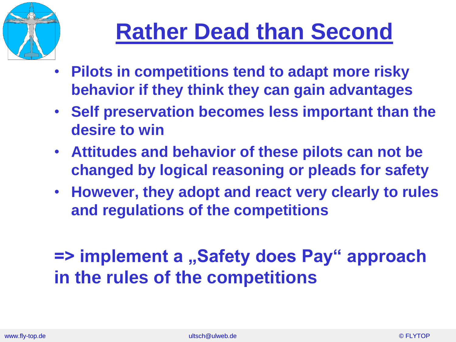

#### **Rather Dead than Second**

- **Pilots in competitions tend to adapt more risky behavior if they think they can gain advantages**
- **Self preservation becomes less important than the desire to win**
- **Attitudes and behavior of these pilots can not be changed by logical reasoning or pleads for safety**
- **However, they adopt and react very clearly to rules and regulations of the competitions**

#### **=> implement a ,,Safety does Pay" approach in the rules of the competitions**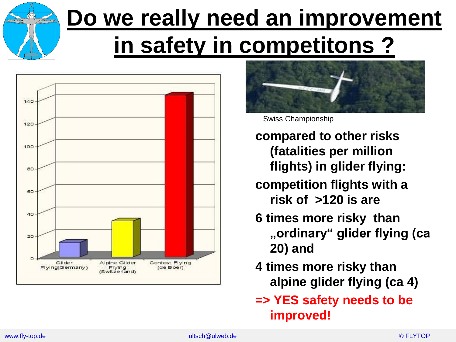# **Do we really need an improvement in safety in competitons ?**





Swiss Championship

- **compared to other risks (fatalities per million flights) in glider flying:**
- **competition flights with a risk of >120 is are**
- **6 times more risky than "ordinary" glider flying (ca 20) and**
- **4 times more risky than alpine glider flying (ca 4)**
- **=> YES safety needs to be improved!**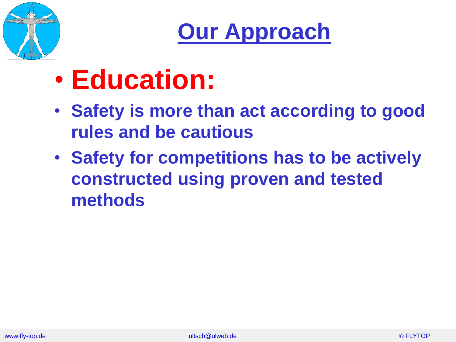

**Our Approach**

- **Education:**
- **Safety is more than act according to good rules and be cautious**
- **Safety for competitions has to be actively constructed using proven and tested methods**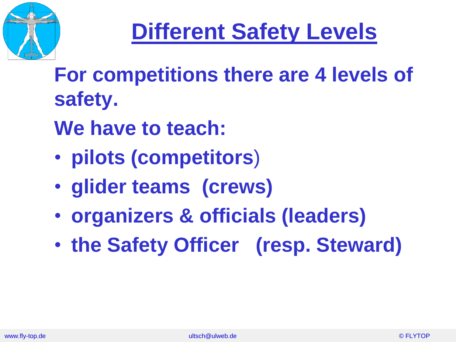

#### **Different Safety Levels**

**For competitions there are 4 levels of safety.**

**We have to teach:**

- **pilots (competitors**)
- **glider teams (crews)**
- **organizers & officials (leaders)**
- **the Safety Officer (resp. Steward)**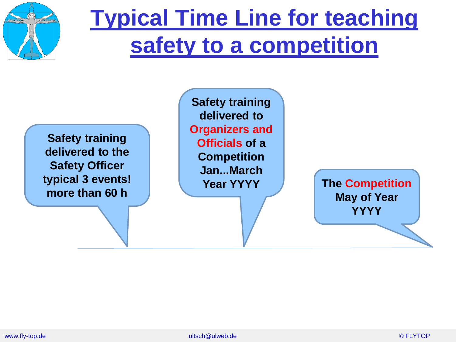

#### **Typical Time Line for teaching safety to a competition**

**Safety training delivered to the Safety Officer typical 3 events! more than 60 h**

**Safety training delivered to Organizers and Officials of a Competition Jan...March Year YYYY**

**The Competition May of Year YYYY**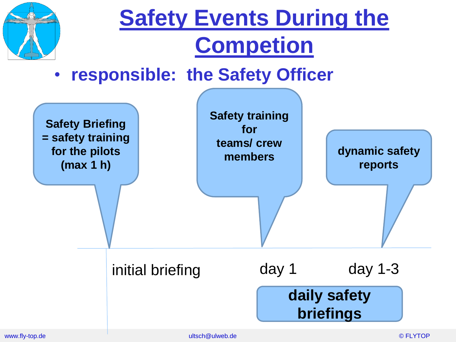

#### **Safety Events During the Competion**

• **responsible: the Safety Officer**

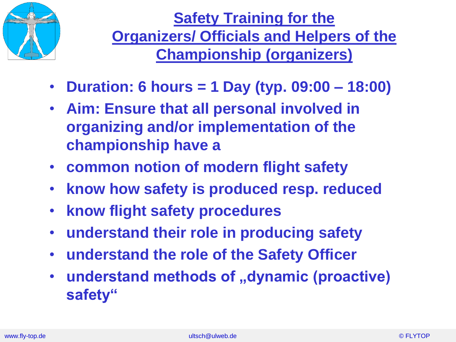

**Safety Training for the Organizers/ Officials and Helpers of the Championship (organizers)**

- **Duration: 6 hours = 1 Day (typ. 09:00 – 18:00)**
- **Aim: Ensure that all personal involved in organizing and/or implementation of the championship have a**
- **common notion of modern flight safety**
- **know how safety is produced resp. reduced**
- **know flight safety procedures**
- **understand their role in producing safety**
- **understand the role of the Safety Officer**
- **understand methods of "dynamic (proactive) safety"**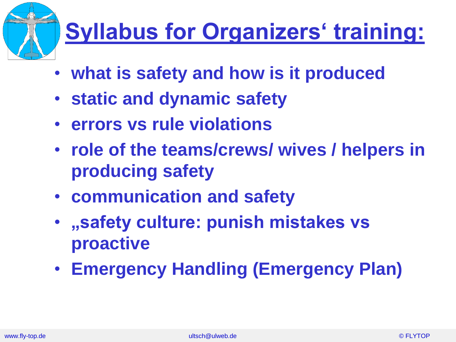

## **Syllabus for Organizers' training:**

- **what is safety and how is it produced**
- **static and dynamic safety**
- **errors vs rule violations**
- **role of the teams/crews/ wives / helpers in producing safety**
- **communication and safety**
- **"safety culture: punish mistakes vs proactive**
- **Emergency Handling (Emergency Plan)**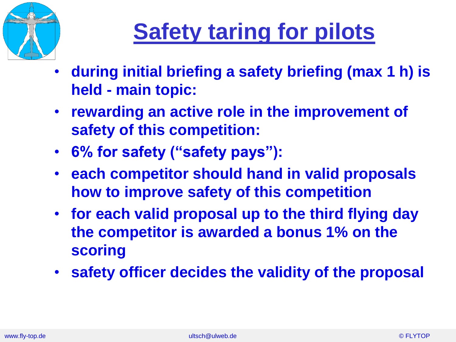

## **Safety taring for pilots**

- **during initial briefing a safety briefing (max 1 h) is held - main topic:**
- **rewarding an active role in the improvement of safety of this competition:**
- **6% for safety ("safety pays"):**
- **each competitor should hand in valid proposals how to improve safety of this competition**
- **for each valid proposal up to the third flying day the competitor is awarded a bonus 1% on the scoring**
- **safety officer decides the validity of the proposal**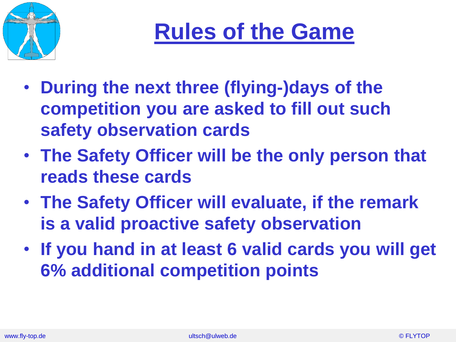



- **During the next three (flying-)days of the competition you are asked to fill out such safety observation cards**
- **The Safety Officer will be the only person that reads these cards**
- **The Safety Officer will evaluate, if the remark is a valid proactive safety observation**
- **If you hand in at least 6 valid cards you will get 6% additional competition points**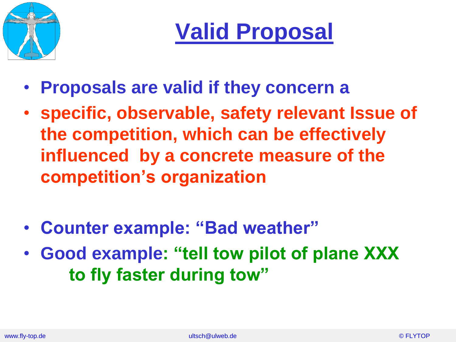

**Valid Proposal**

- **Proposals are valid if they concern a**
- **specific, observable, safety relevant Issue of the competition, which can be effectively influenced by a concrete measure of the competition's organization**
- **Counter example: "Bad weather"**
- **Good example: "tell tow pilot of plane XXX to fly faster during tow"**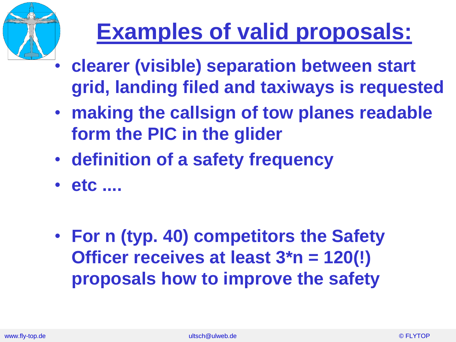

## **Examples of valid proposals:**

- **clearer (visible) separation between start grid, landing filed and taxiways is requested**
- **making the callsign of tow planes readable form the PIC in the glider**
- **definition of a safety frequency**
- **etc ....**
- **For n (typ. 40) competitors the Safety Officer receives at least 3\*n = 120(!) proposals how to improve the safety**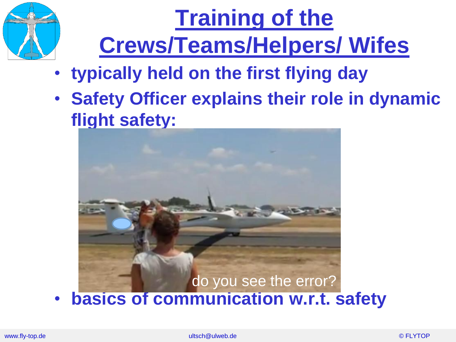

# **Training of the Crews/Teams/Helpers/ Wifes**

- **typically held on the first flying day**
- **Safety Officer explains their role in dynamic flight safety:**

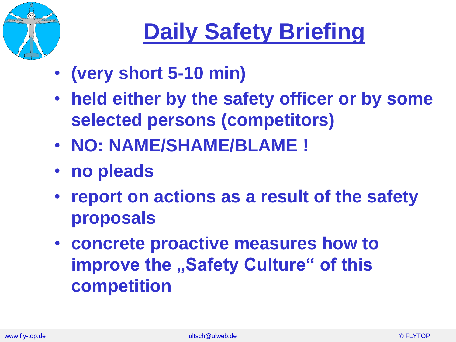

# **Daily Safety Briefing**

- **(very short 5-10 min)**
- **held either by the safety officer or by some selected persons (competitors)**
- **NO: NAME/SHAME/BLAME !**
- **no pleads**
- **report on actions as a result of the safety proposals**
- **concrete proactive measures how to improve the "Safety Culture" of this competition**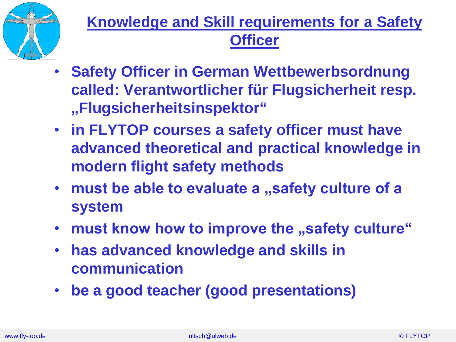

#### **Knowledge and Skill requirements for a Safety Officer**

- **Safety Officer in German Wettbewerbsordnung called: Verantwortlicher für Flugsicherheit resp. "Flugsicherheitsinspektor"**
- **in FLYTOP courses a safety officer must have advanced theoretical and practical knowledge in modern flight safety methods**
- must be able to evaluate a "safety culture of a **system**
- must know how to improve the "safety culture"
- **has advanced knowledge and skills in communication**
- **be a good teacher (good presentations)**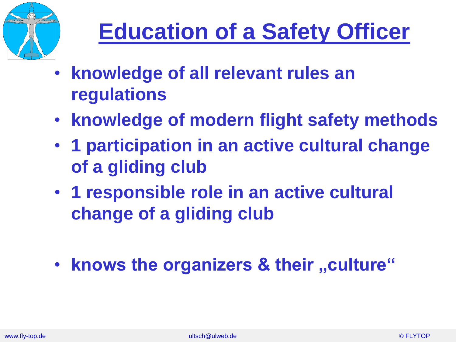

## **Education of a Safety Officer**

- **knowledge of all relevant rules an regulations**
- **knowledge of modern flight safety methods**
- **1 participation in an active cultural change of a gliding club**
- **1 responsible role in an active cultural change of a gliding club**
- knows the organizers & their "culture"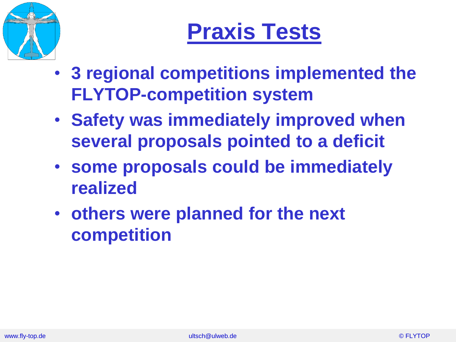

## **Praxis Tests**

- **3 regional competitions implemented the FLYTOP-competition system**
- **Safety was immediately improved when several proposals pointed to a deficit**
- **some proposals could be immediately realized**
- **others were planned for the next competition**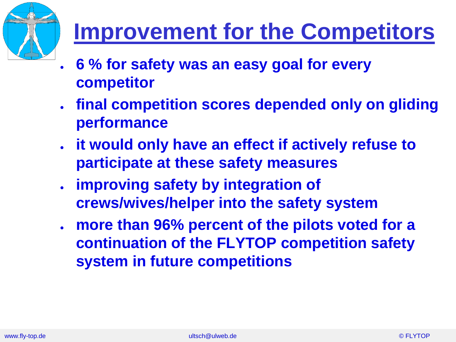

#### **Improvement for the Competitors**

- **6 % for safety was an easy goal for every competitor**
- **final competition scores depended only on gliding performance**
- **it would only have an effect if actively refuse to participate at these safety measures**
- **improving safety by integration of crews/wives/helper into the safety system**
- more than 96% percent of the pilots voted for a **continuation of the FLYTOP competition safety system in future competitions**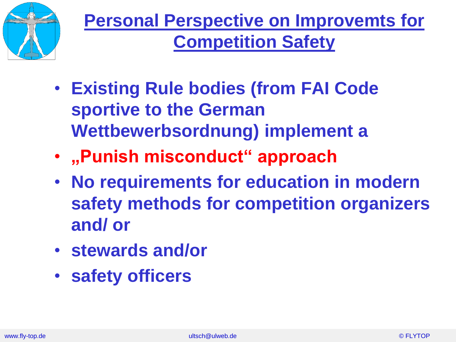

- **Existing Rule bodies (from FAI Code sportive to the German Wettbewerbsordnung) implement a**
- **"Punish misconduct" approach**
- **No requirements for education in modern safety methods for competition organizers and/ or**
- **stewards and/or**
- **safety officers**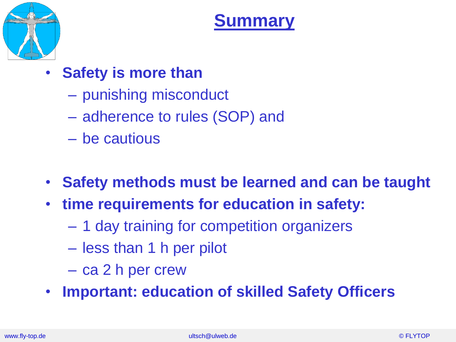

#### **Summary**

- **Safety is more than** 
	- punishing misconduct
	- adherence to rules (SOP) and
	- be cautious
- **Safety methods must be learned and can be taught**
- **time requirements for education in safety:**
	- 1 day training for competition organizers
	- less than 1 h per pilot
	- ca 2 h per crew
- **Important: education of skilled Safety Officers**